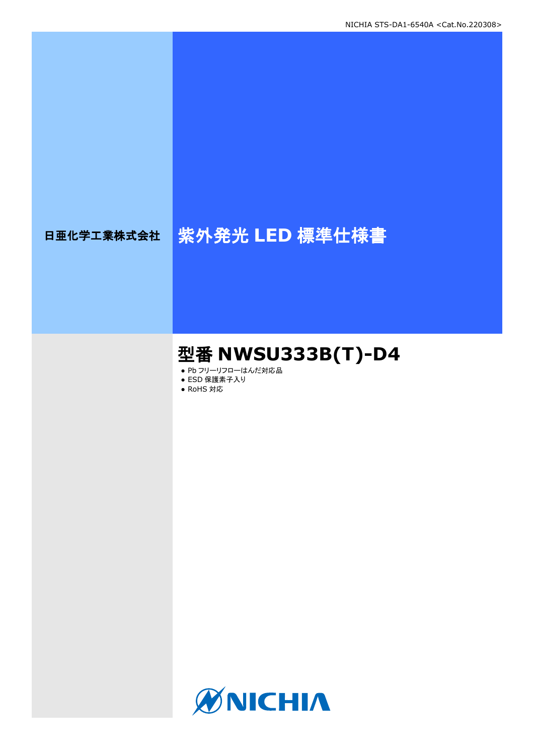# 日亜化学工業株式会社 紫外発光 LED 標準仕様書

## 型番 **NWSU333B(T)-D4**

- Pb フリーリフローはんだ対応品
- ESD 保護素子入り
- RoHS 対応

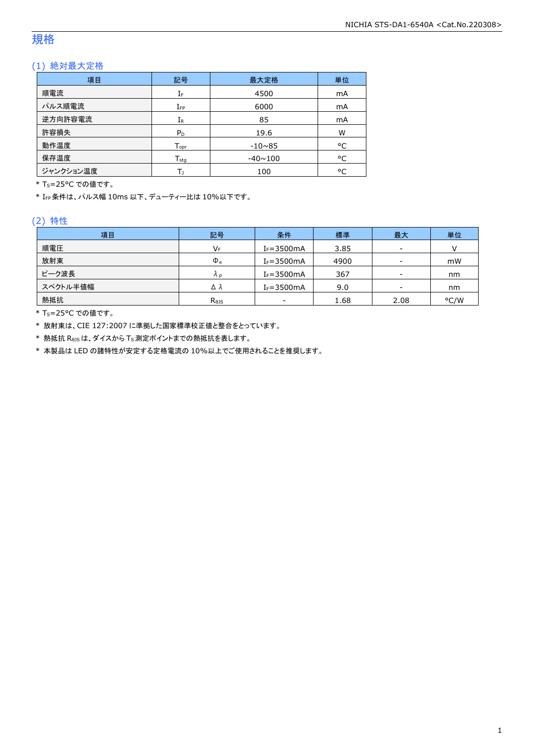### 規格

### (1) 絶対最大定格

| 項目        | 記号                 | 最大定格           | 単位 |
|-----------|--------------------|----------------|----|
| 順電流       | IF                 | 4500           | mA |
| パルス順電流    | $I_{FP}$           | 6000           | mA |
| 逆方向許容電流   | $I_{R}$            | 85             | mA |
| 許容損失      | $P_D$              | 19.6           | W  |
| 動作温度      | $T_{\mathsf{opr}}$ | $-10\nu 85$    | °C |
| 保存温度      | $T_{\rm stq}$      | $-40 \sim 100$ | °C |
| ジャンクション温度 |                    | 100            | °C |

\* T<sub>S</sub>=25°C での値です。

\* IFP条件は、パルス幅 10ms 以下、デューティー比は 10%以下です。

#### (2) 特性

| 項目       | 記号                         | 条件             | 標準   | 最大                       | 単位   |
|----------|----------------------------|----------------|------|--------------------------|------|
| 順電圧      | VF                         | $I_F = 3500mA$ | 3.85 | -                        |      |
| 放射束      | $\Phi_{\rm e}$             | $I_F = 3500mA$ | 4900 | -                        | mW   |
| ピーク波長    | Λp                         | $I_F = 3500mA$ | 367  | -                        | nm   |
| スペクトル半値幅 | Δλ                         | $I_F = 3500mA$ | 9.0  | $\overline{\phantom{a}}$ | nm   |
| 熱抵抗      | $R_{\theta}$ <sub>15</sub> | ۰              | 1.68 | 2.08                     | °C/W |

\* Ts=25°C での値です。

\* 放射束は、CIE 127:2007 に準拠した国家標準校正値と整合をとっています。

\* 熱抵抗 RθJSは、ダイスから TS測定ポイントまでの熱抵抗を表します。

\* 本製品は LED の諸特性が安定する定格電流の 10%以上でご使用されることを推奨します。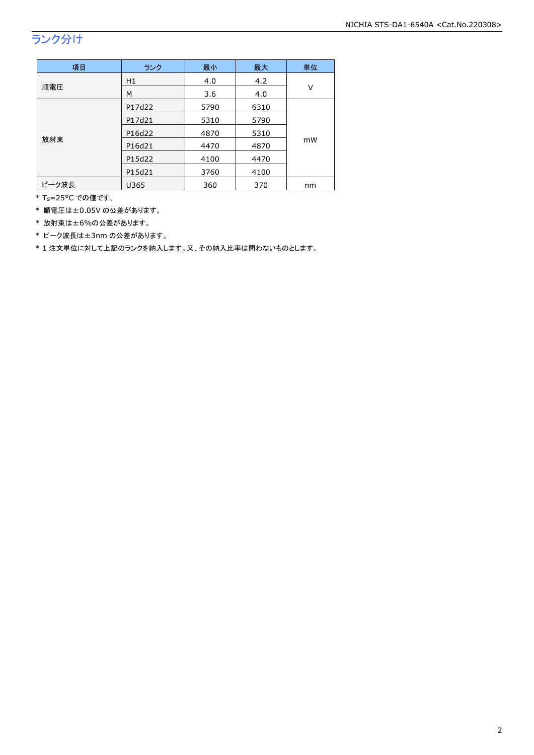## ランク分け

| 項目    | ランク    | 最小   | 最大   | 単位 |  |
|-------|--------|------|------|----|--|
|       | H1     | 4.0  | 4.2  | v  |  |
| 順電圧   | М      | 3.6  | 4.0  |    |  |
|       | P17d22 | 5790 | 6310 |    |  |
| 放射束   | P17d21 | 5310 | 5790 |    |  |
|       | P16d22 | 4870 | 5310 | mW |  |
|       | P16d21 | 4470 | 4870 |    |  |
|       | P15d22 | 4100 | 4470 |    |  |
|       | P15d21 | 3760 | 4100 |    |  |
| ピーク波長 | U365   | 360  | 370  | nm |  |

\* Ts=25°C での値です。

\* 順電圧は±0.05V の公差があります。

\* 放射束は±6%の公差があります。

\* ピーク波長は±3nm の公差があります。

\* 1 注文単位に対して上記のランクを納入します。又、その納入比率は問わないものとします。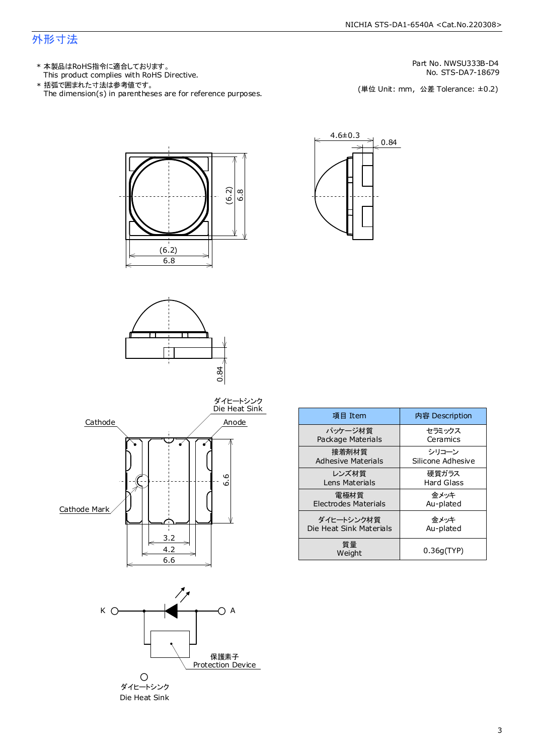### 外形寸法

- This product complies with RoHS Directive. 本製品はRoHS指令に適合しております。 \*
- The dimension(s) in parentheses are for reference purposes. 括弧で囲まれた寸法は参考値です。 \*

Part No. NWSU333B-D4

No. STS-DA7-18679<br>(単位 Unit: mm,公差 Tolerance: ±0.2)









| 項目 Item                   | 内容 Description    |
|---------------------------|-------------------|
| パッケージ材質                   | セラミックス            |
| Package Materials         | Ceramics          |
| 接着剤材質                     | シリコーン             |
| <b>Adhesive Materials</b> | Silicone Adhesive |
| レンズ材質                     | 硬質ガラス             |
| Lens Materials            | Hard Glass        |
| 電極材質                      | 余メッキ              |
| Electrodes Materials      | Au-plated         |
| ダイヒートシンク材質                | 金メッキ              |
| Die Heat Sink Materials   | Au-plated         |
| 質量<br>Weight              | 0.36q(TYP)        |

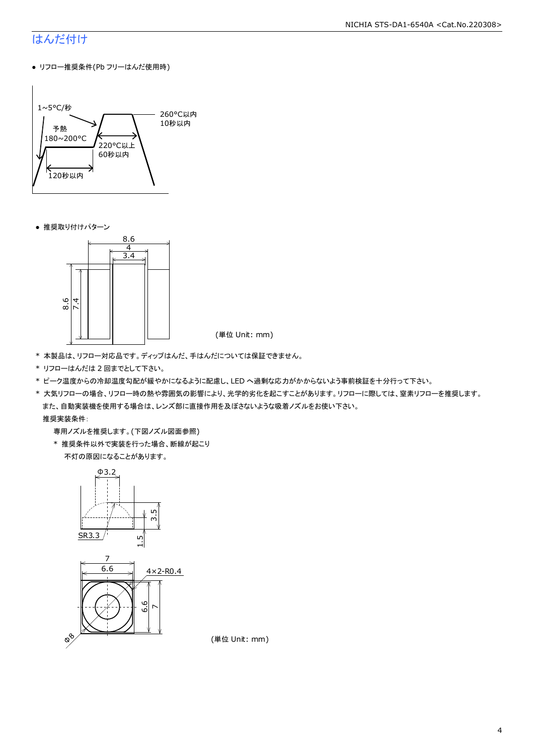### はんだ付け

● リフロー推奨条件(Pb フリーはんだ使用時)



● 推奨取り付けパターン



(単位 Unit: mm)

- \* 本製品は、リフロー対応品です。ディップはんだ、手はんだについては保証できません。
- \* リフローはんだは 2 回までとして下さい。
- \* ピーク温度からの冷却温度勾配が緩やかになるように配慮し、LED へ過剰な応力がかからないよう事前検証を十分行って下さい。
- \* 大気リフローの場合、リフロー時の熱や雰囲気の影響により、光学的劣化を起こすことがあります。リフローに際しては、窒素リフローを推奨します。 また、自動実装機を使用する場合は、レンズ部に直接作用を及ぼさないような吸着ノズルをお使い下さい。

推奨実装条件:

専用ノズルを推奨します。(下図ノズル図面参照)

 \* 推奨条件以外で実装を行った場合、断線が起こり 不灯の原因になることがあります。



(単位 Unit: mm)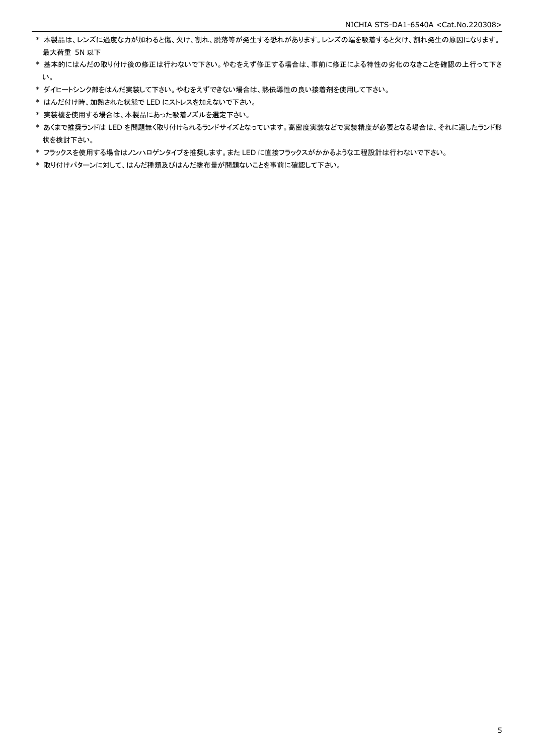- \* 本製品は、レンズに過度な力が加わると傷、欠け、割れ、脱落等が発生する恐れがあります。レンズの端を吸着すると欠け、割れ発生の原因になります。 最大荷重 5N 以下
- \* 基本的にはんだの取り付け後の修正は行わないで下さい。やむをえず修正する場合は、事前に修正による特性の劣化のなきことを確認の上行って下さ い。
- \* ダイヒートシンク部をはんだ実装して下さい。やむをえずできない場合は、熱伝導性の良い接着剤を使用して下さい。
- \* はんだ付け時、加熱された状態で LED にストレスを加えないで下さい。
- \* 実装機を使用する場合は、本製品にあった吸着ノズルを選定下さい。
- \* あくまで推奨ランドは LED を問題無く取り付けられるランドサイズとなっています。高密度実装などで実装精度が必要となる場合は、それに適したランド形 状を検討下さい。
- \* フラックスを使用する場合はノンハロゲンタイプを推奨します。また LED に直接フラックスがかかるような工程設計は行わないで下さい。
- \* 取り付けパターンに対して、はんだ種類及びはんだ塗布量が問題ないことを事前に確認して下さい。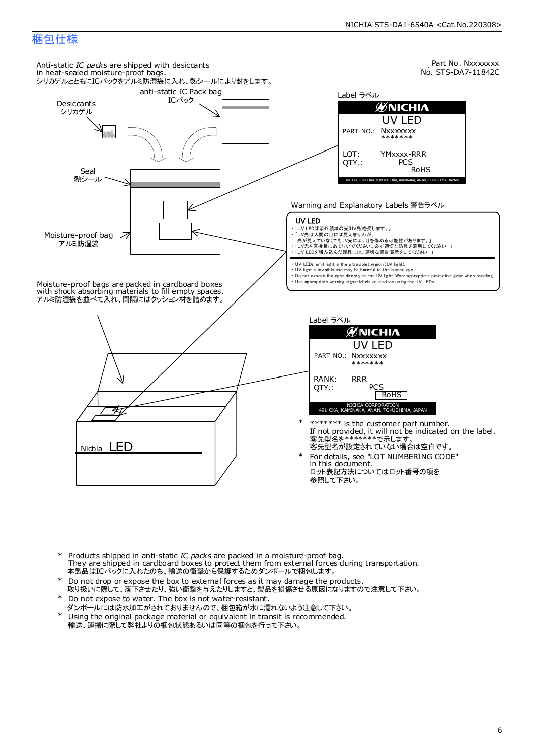### 梱包仕様



- Products shipped in anti-static *IC packs* are packed in a moisture-proof bag. They are shipped in cardboard boxes to protect them from external forces during transportation. 本製品はICパックに入れたのち、輸送の衝撃から保護するためダンボールで梱包します。 \*
- Do not drop or expose the box to external forces as it may damage the products. 取り扱いに際して、落下させたり、強い衝撃を与えたりしますと、製品を損傷させる原因になりますので注意して下さい。 \*
- Do not expose to water. The box is not water-resistant. \*
- ダンボールには防水加工がされておりませんので、梱包箱が水に濡れないよう注意して下さい。
- Using the original package material or equivalent in transit is recommended. 輸送、運搬に際して弊社よりの梱包状態あるいは同等の梱包を行って下さい。 \*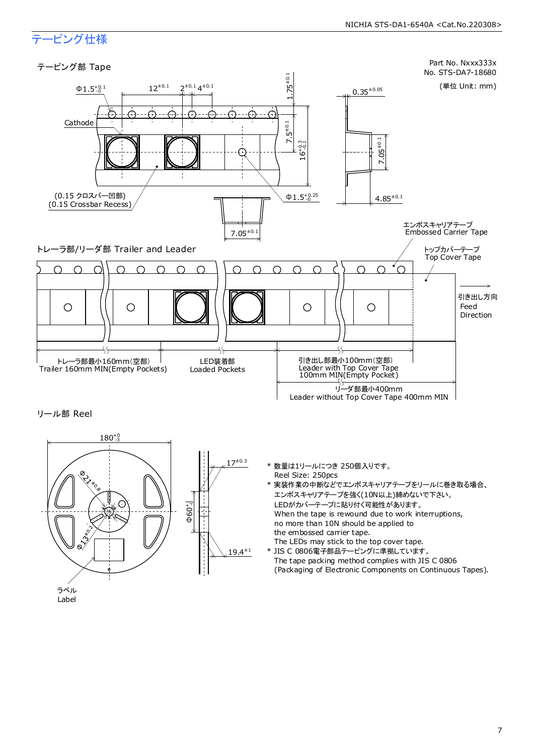### テーピング仕様



リール部 Reel



- \* 数量は1リールにつき 250個入りです。 Reel Size: 250pcs
- \* 実装作業の中断などでエンボスキャリアテープをリールに巻き取る場合、 エンボスキャリアテープを強く(10N以上)締めないで下さい。 LEDがカバーテープに貼り付く可能性があります。 When the tape is rewound due to work interruptions, no more than 10N should be applied to the embossed carrier tape. The LEDs may stick to the top cover tape.
- \* JIS C 0806電子部品テーピングに準拠しています。 The tape packing method complies with JIS C 0806 (Packaging of Electronic Components on Continuous Tapes).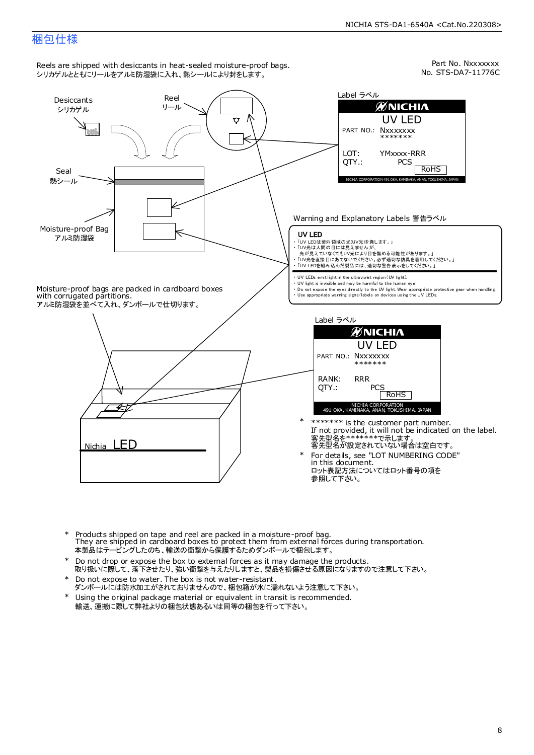#### NICHIA STS-DA1-6540A <Cat.No.220308>

### 梱包仕様



- Products shipped on tape and reel are packed in a moisture-proof bag. They are shipped in cardboard boxes to protect them from external forces during transportation. - ^^0 y aro onlyped in databourd boxes to protect them mont skemia.rent<br>本製品はテーピングしたのち、輸送の衝撃から保護するためダンボールで梱包します。 \*
- Do not drop or expose the box to external forces as it may damage the products. 取り扱いに際して、落下させたり、強い衝撃を与えたりしますと、製品を損傷させる原因になりますので注意して下さい。 \*
- Do not expose to water. The box is not water-resistant. \*
- ダンボールには防水加工がされておりませんので、梱包箱が水に濡れないよう注意して下さい。
- \* Using the original package material or equivalent in transit is recommended. 輸送、運搬に際して弊社よりの梱包状態あるいは同等の梱包を行って下さい。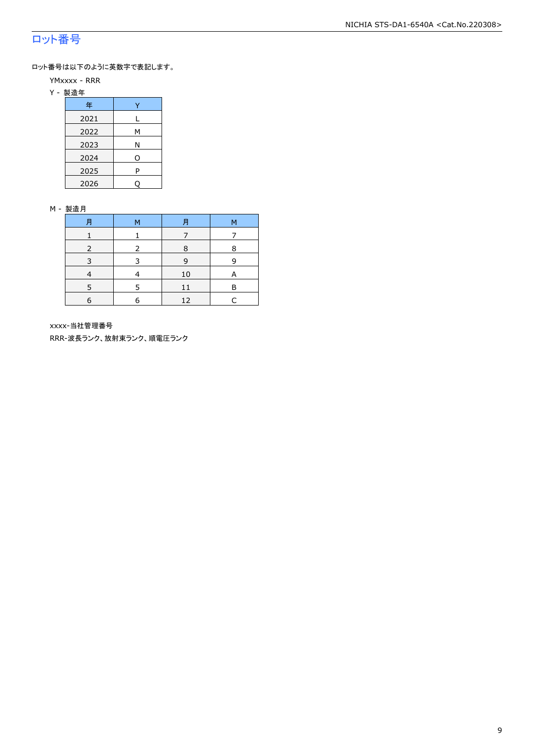### ロット番号

ロット番号は以下のように英数字で表記します。

- YMxxxx RRR
- Y 製造年

| 年    |   |
|------|---|
| 2021 | L |
| 2022 | М |
| 2023 | Ν |
| 2024 | O |
| 2025 | P |
| 2026 |   |

#### M - 製造月

| 月 | м | 月  | М |
|---|---|----|---|
|   |   |    |   |
|   |   | 8  | 8 |
| 3 | २ | 9  | q |
|   |   | 10 |   |
|   | 5 | 11 | P |
| 6 | 6 | 12 |   |

xxxx-当社管理番号

RRR-波長ランク、放射束ランク、順電圧ランク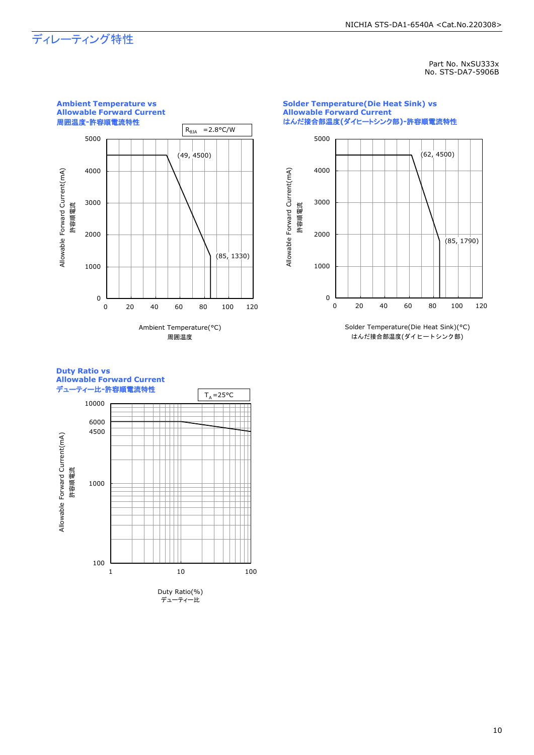### ディレーティング特性

**Ambient Temperature vs** 

Part No. NxSU333x No. STS-DA7-5906B







Ambient Temperature(°C) 周囲温度

Solder Temperature(Die Heat Sink)(°C) はんだ接合部温度(ダイヒートシンク部)

#### **Duty Ratio vs Allowable Forward Current** デューティー比-許容順電流特性 T<sub>A</sub>=25°C

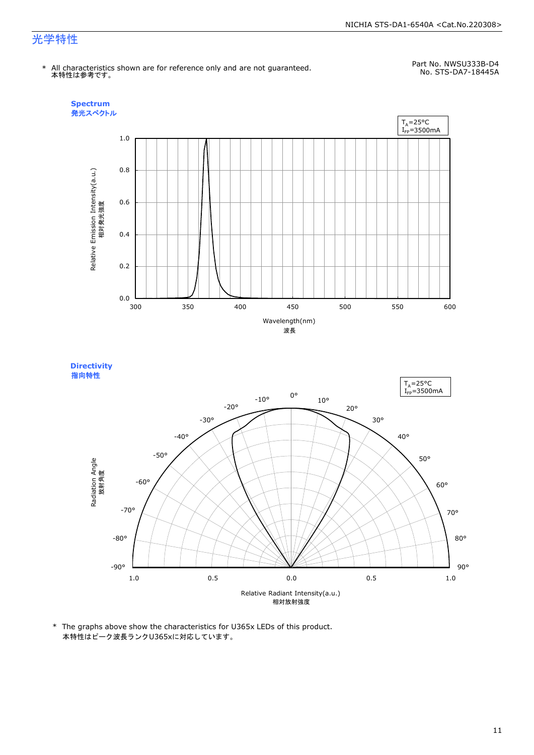#### NICHIA STS-DA1-6540A <Cat.No.220308>

### 光学特性

\* All characteristics shown are for reference only and are not guaranteed. 本特性は参考です。

Part No. NWSU333B-D4 No. STS-DA7-18445A





\* The graphs above show the characteristics for U365x LEDs of this product. 本特性はピーク波長ランクU365xに対応しています。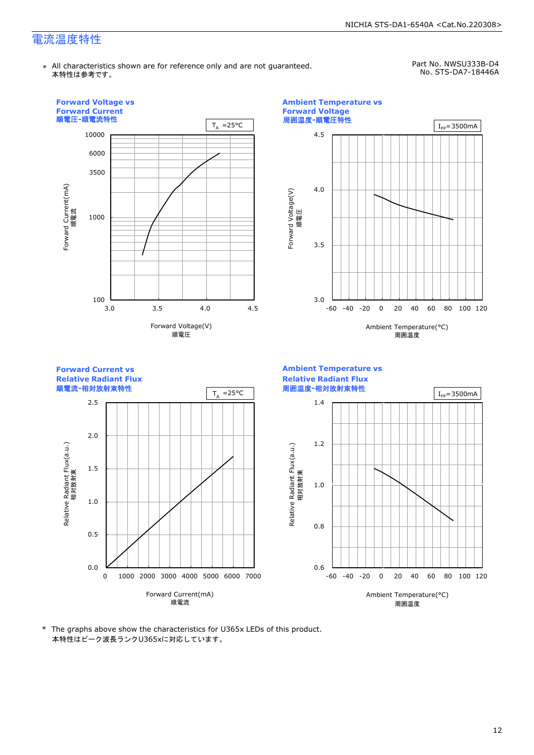### 電流温度特性

\* All characteristics shown are for reference only and are not guaranteed. 本特性は参考です。

Part No. NWSU333B-D4 No. STS-DA7-18446A



\* The graphs above show the characteristics for U365x LEDs of this product. 本特性はピーク波長ランクU365xに対応しています。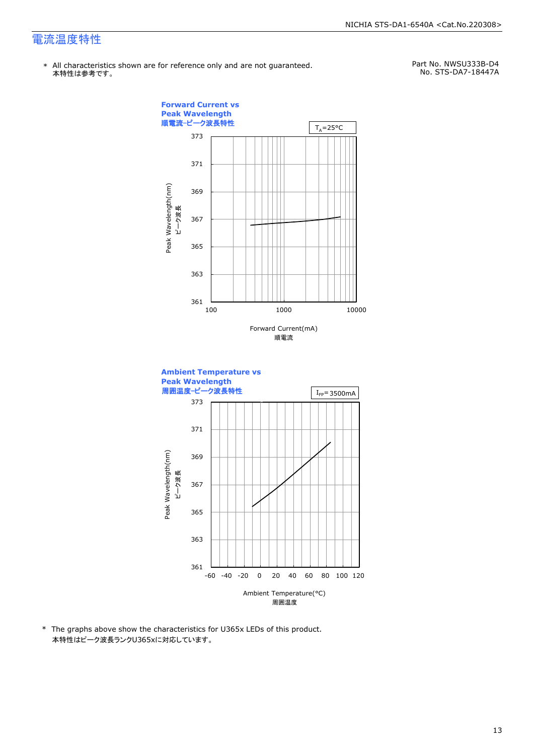### 電流温度特性

\* All characteristics shown are for reference only and are not guaranteed. 本特性は参考です。

Part No. NWSU333B-D4 No. STS-DA7-18447A



\* The graphs above show the characteristics for U365x LEDs of this product. 本特性はピーク波長ランクU365xに対応しています。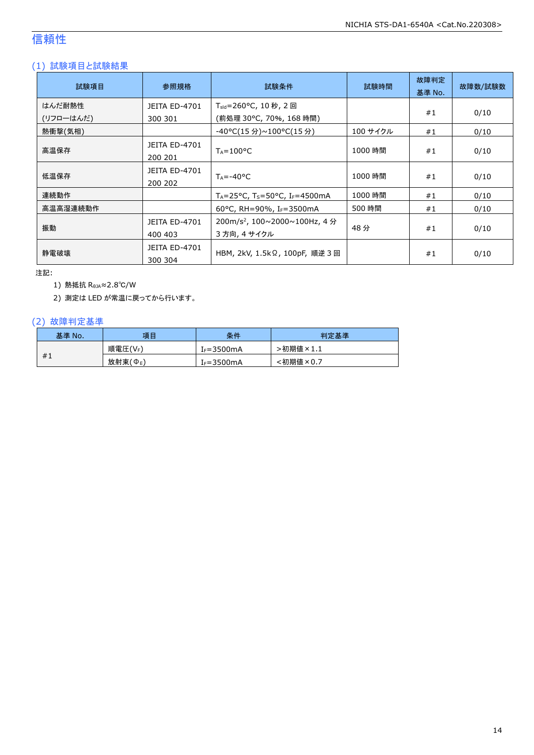### 信頼性

### (1) 試験項目と試験結果

| 試験項目      | 参照規格                            | 試験条件                                                                  | 試験時間     | 故障判定<br>基準 No. | 故障数/試験数 |
|-----------|---------------------------------|-----------------------------------------------------------------------|----------|----------------|---------|
| はんだ耐熱性    | <b>JEITA ED-4701</b>            | T <sub>sld</sub> =260°C, 10 秒, 2 回                                    |          |                |         |
| (リフローはんだ) | 300 301                         | (前処理 30℃, 70%, 168 時間)                                                |          | #1             | 0/10    |
| 熱衝撃(気相)   |                                 | -40°C(15 分)~100°C(15 分)                                               | 100 サイクル | #1             | 0/10    |
| 高温保存      | JEITA ED-4701<br>200 201        | $T_A = 100^{\circ}C$                                                  | 1000 時間  | #1             | 0/10    |
| 低温保存      | <b>JEITA ED-4701</b><br>200 202 | $T_A = -40^{\circ}C$                                                  | 1000 時間  | #1             | 0/10    |
| 連続動作      |                                 | $T_A = 25^{\circ}$ C, T <sub>S</sub> =50 °C, I <sub>F</sub> =4500 mA  | 1000 時間  | #1             | 0/10    |
| 高温高湿連続動作  |                                 | 60°C, RH=90%, I <sub>F</sub> =3500mA                                  | 500 時間   | #1             | 0/10    |
| 振動        | <b>JEITA ED-4701</b><br>400 403 | $200 \text{m/s}^2$ , $100 \sim 2000 \sim 100$ Hz, 4 分<br>3 方向, 4 サイクル | 48分      | #1             | 0/10    |
| 静雷破壊      | JEITA ED-4701<br>300 304        | HBM, 2kV, 1.5kΩ, 100pF, 順逆 3 回                                        |          | #1             | 0/10    |

注記:

1) 熱抵抗 RθJA≈2.8℃/W

2) 測定は LED が常温に戻ってから行います。

#### (2) 故障判定基準

| 基準 No. | 項目      | 条件             | 判定基準                          |
|--------|---------|----------------|-------------------------------|
|        | 順電圧(VF) | $I_F = 3500mA$ | >初期値<br>$\times$ 1<br>へ ⊥ . ⊥ |
| #1     | 放射束(Φε) | IF=3500mA      | :初期値<br>$\times 0.7$          |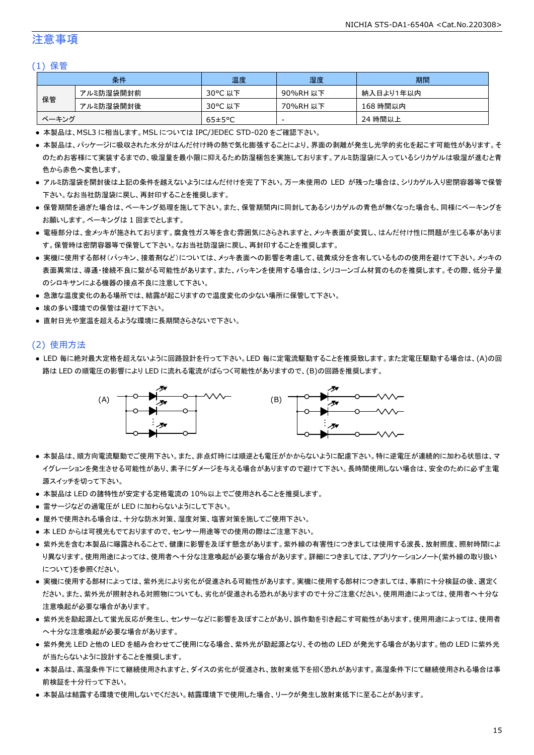### 注意事項

#### (1) 保管

|       | 条件        | 温度                   | 湿度       | 期間        |
|-------|-----------|----------------------|----------|-----------|
|       | アルミ防湿袋開封前 | 30°C 以下              | 90%RH 以下 | 納入日より1年以内 |
| 保管    | アルミ防湿袋開封後 | 30°C 以下              | 70%RH 以下 | 168 時間以内  |
| ベーキング |           | $65 \pm 5^{\circ}$ C | -        | 24 時間以上   |

● 本製品は、MSL3 に相当します。MSL については IPC/JEDEC STD-020 をご確認下さい。

- 本製品は、パッケージに吸収された水分がはんだ付け時の熱で気化膨張することにより、界面の剥離が発生し光学的劣化を起こす可能性があります。そ のためお客様にて実装するまでの、吸湿量を最小限に抑えるため防湿梱包を実施しております。アルミ防湿袋に入っているシリカゲルは吸湿が進むと青 色から赤色へ変色します。
- アルミ防湿袋を開封後は上記の条件を越えないようにはんだ付けを完了下さい。万一未使用の LED が残った場合は、シリカゲル入り密閉容器等で保管 下さい。なお当社防湿袋に戻し、再封印することを推奨します。
- 保管期間を過ぎた場合は、ベーキング処理を施して下さい。また、保管期間内に同封してあるシリカゲルの青色が無くなった場合も、同様にベーキングを お願いします。ベーキングは 1 回までとします。
- 電極部分は、金メッキが施されております。腐食性ガス等を含む雰囲気にさらされますと、メッキ表面が変質し、はんだ付け性に問題が生じる事がありま す。保管時は密閉容器等で保管して下さい。なお当社防湿袋に戻し、再封印することを推奨します。
- 実機に使用する部材(パッキン、接着剤など)については、メッキ表面への影響を考慮して、硫黄成分を含有しているものの使用を避けて下さい。メッキの 表面異常は、導通・接続不良に繋がる可能性があります。また、パッキンを使用する場合は、シリコーンゴム材質のものを推奨します。その際、低分子量 のシロキサンによる機器の接点不良に注意して下さい。
- 急激な温度変化のある場所では、結露が起こりますので温度変化の少ない場所に保管して下さい。
- 埃の多い環境での保管は避けて下さい。
- 直射日光や室温を超えるような環境に長期間さらさないで下さい。

#### (2) 使用方法

● LED 毎に絶対最大定格を超えないように回路設計を行って下さい。LED 毎に定電流駆動することを推奨致します。また定電圧駆動する場合は、(A)の回 路は LED の順電圧の影響により LED に流れる電流がばらつく可能性がありますので、(B)の回路を推奨します。



- 本製品は、順方向電流駆動でご使用下さい。また、非点灯時には順逆とも電圧がかからないように配慮下さい。特に逆電圧が連続的に加わる状態は、マ イグレーションを発生させる可能性があり、素子にダメージを与える場合がありますので避けて下さい。長時間使用しない場合は、安全のために必ず主電 源スイッチを切って下さい。
- 本製品は LED の諸特性が安定する定格電流の 10%以上でご使用されることを推奨します。
- 雷サージなどの過電圧が LED に加わらないようにして下さい。
- 屋外で使用される場合は、十分な防水対策、湿度対策、塩害対策を施してご使用下さい。
- 本 LED からは可視光もでておりますので、センサー用途等での使用の際はご注意下さい。
- 紫外光を含む本製品に曝露されることで、健康に影響を及ぼす懸念があります。紫外線の有害性につきましては使用する波長、放射照度、照射時間によ り異なります。使用用途によっては、使用者へ十分な注意喚起が必要な場合があります。詳細につきましては、アプリケーションノート(紫外線の取り扱い について)を参照ください。
- 実機に使用する部材によっては、紫外光により劣化が促進される可能性があります。実機に使用する部材につきましては、事前に十分検証の後、選定く ださい。また、紫外光が照射される対照物についても、劣化が促進される恐れがありますので十分ご注意ください。使用用途によっては、使用者へ十分な 注意喚起が必要な場合があります。
- 紫外光を励起源として蛍光反応が発生し、センサーなどに影響を及ぼすことがあり、誤作動を引き起こす可能性があります。使用用途によっては、使用者 へ十分な注意喚起が必要な場合があります。
- 紫外発光 LED と他の LED を組み合わせてご使用になる場合、紫外光が励起源となり、その他の LED が発光する場合があります。他の LED に紫外光 が当たらないように設計することを推奨します。
- 本製品は、高湿条件下にて継続使用されますと、ダイスの劣化が促進され、放射束低下を招く恐れがあります。高湿条件下にて継続使用される場合は事 前検証を十分行って下さい。
- 本製品は結露する環境で使用しないでください。結露環境下で使用した場合、リークが発生し放射束低下に至ることがあります。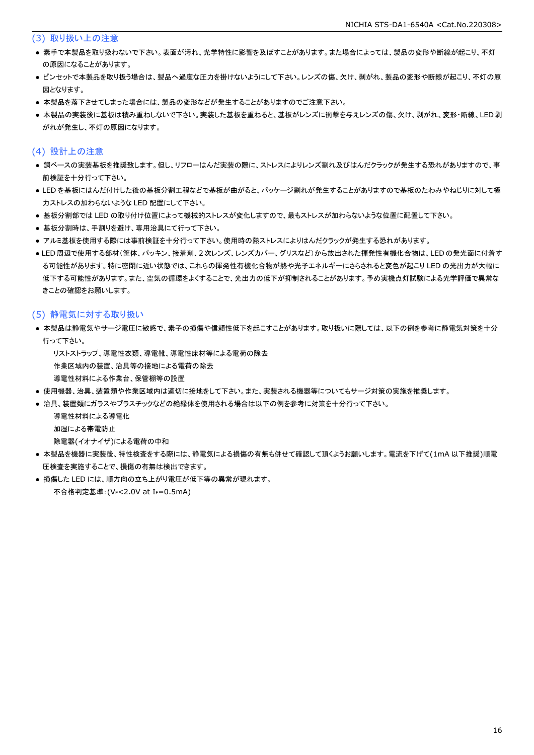(3) 取り扱い上の注意

- 素手で本製品を取り扱わないで下さい。表面が汚れ、光学特性に影響を及ぼすことがあります。また場合によっては、製品の変形や断線が起こり、不灯 の原因になることがあります。
- ピンセットで本製品を取り扱う場合は、製品へ過度な圧力を掛けないようにして下さい。レンズの傷、欠け、剥がれ、製品の変形や断線が起こり、不灯の原 因となります。
- 本製品を落下させてしまった場合には、製品の変形などが発生することがありますのでご注意下さい。
- 本製品の実装後に基板は積み重ねしないで下さい。実装した基板を重ねると、基板がレンズに衝撃を与えレンズの傷、欠け、剥がれ、変形・断線、LED剥 がれが発生し、不灯の原因になります。

#### (4) 設計上の注意

- 銅ベースの実装基板を推奨致します。但し、リフローはんだ実装の際に、ストレスによりレンズ割れ及びはんだクラックが発生する恐れがありますので、事 前検証を十分行って下さい。
- LED を基板にはんだ付けした後の基板分割工程などで基板が曲がると、パッケージ割れが発生することがありますので基板のたわみやねじりに対して極 力ストレスの加わらないような LED 配置にして下さい。
- 基板分割部では LED の取り付け位置によって機械的ストレスが変化しますので、最もストレスが加わらないような位置に配置して下さい。
- 基板分割時は、手割りを避け、専用治具にて行って下さい。
- アルミ基板を使用する際には事前検証を十分行って下さい。使用時の熱ストレスによりはんだクラックが発生する恐れがあります。
- LED 周辺で使用する部材(筐体、パッキン、接着剤、2次レンズ、レンズカバー、グリスなど)から放出された揮発性有機化合物は、LED の発光面に付着す る可能性があります。特に密閉に近い状態では、これらの揮発性有機化合物が熱や光子エネルギーにさらされると変色が起こり LED の光出力が大幅に 低下する可能性があります。また、空気の循環をよくすることで、光出力の低下が抑制されることがあります。予め実機点灯試験による光学評価で異常な きことの確認をお願いします。

#### (5) 静電気に対する取り扱い

- 本製品は静電気やサージ電圧に敏感で、素子の損傷や信頼性低下を起こすことがあります。取り扱いに際しては、以下の例を参考に静電気対策を十分 行って下さい。
	- リストストラップ、導電性衣類、導電靴、導電性床材等による電荷の除去

作業区域内の装置、治具等の接地による電荷の除去

- 導電性材料による作業台、保管棚等の設置
- 使用機器、治具、装置類や作業区域内は適切に接地をして下さい。また、実装される機器等についてもサージ対策の実施を推奨します。
- 治具、装置類にガラスやプラスチックなどの絶縁体を使用される場合は以下の例を参考に対策を十分行って下さい。

導電性材料による導電化

加湿による帯電防止

除電器(イオナイザ)による電荷の中和

- 本製品を機器に実装後、特性検査をする際には、静電気による損傷の有無も併せて確認して頂くようお願いします。電流を下げて(1mA 以下推奨)順電 圧検査を実施することで、損傷の有無は検出できます。
- 損傷した LED には、順方向の立ち上がり電圧が低下等の異常が現れます。 不合格判定基準:(VF<2.0V at IF=0.5mA)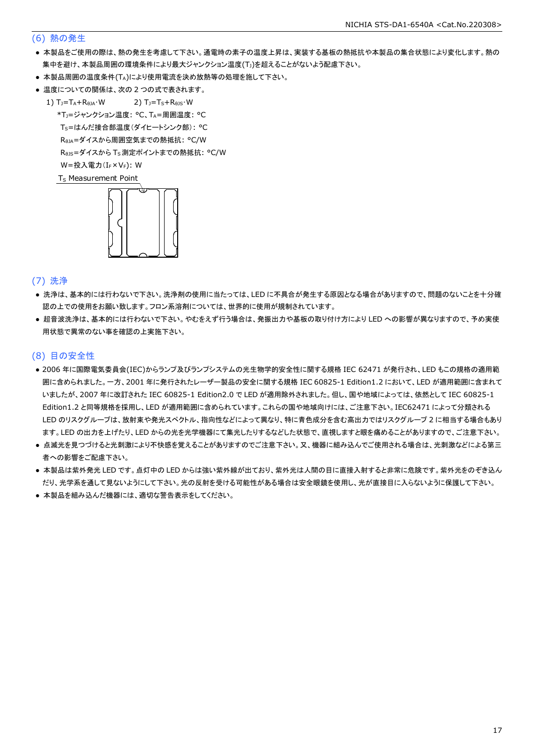#### (6) 熱の発生

- 本製品をご使用の際は、熱の発生を考慮して下さい。通電時の素子の温度上昇は、実装する基板の熱抵抗や本製品の集合状態により変化します。熱の 集中を避け、本製品周囲の環境条件により最大ジャンクション温度(Tj)を超えることがないよう配慮下さい。
- 本製品周囲の温度条件(TA)により使用電流を決め放熱等の処理を施して下さい。
- 温度についての関係は、次の2つの式で表されます。
	- 1)  $T_J = T_A + R_{\theta JA} \cdot W$  2)  $T_J = T_S + R_{\theta JS} \cdot W$  \*TJ=ジャンクション温度: °C、TA=周囲温度: °C Ts=はんだ接合部温度(ダイヒートシンク部): °C RθJA=ダイスから周囲空気までの熱抵抗: °C/W ReJs=ダイスから Ts 測定ポイントまでの熱抵抗: °C/W  $W = \frac{1}{2} \lambda \frac{1}{2} \sum_{r=1}^{n} (I_{F} \times V_{F})$ : W

T<sub>S</sub> Measurement Point



(7) 洗浄

- 洗浄は、基本的には行わないで下さい。洗浄剤の使用に当たっては、LED に不具合が発生する原因となる場合がありますので、問題のないことを十分確 認の上での使用をお願い致します。フロン系溶剤については、世界的に使用が規制されています。
- 超音波洗浄は、基本的には行わないで下さい。やむをえず行う場合は、発振出力や基板の取り付け方により LED への影響が異なりますので、予め実使 用状態で異常のない事を確認の上実施下さい。

#### (8) 目の安全性

- 2006 年に国際電気委員会(IEC)からランプ及びランプシステムの光生物学的安全性に関する規格 IEC 62471 が発行され、LED もこの規格の適用範 囲に含められました。一方、2001 年に発行されたレーザー製品の安全に関する規格 IEC 60825-1 Edition1.2 において、LED が適用範囲に含まれて いましたが、2007 年に改訂された IEC 60825-1 Edition2.0 で LED が適用除外されました。但し、国や地域によっては、依然として IEC 60825-1 Edition1.2 と同等規格を採用し、LED が適用範囲に含められています。これらの国や地域向けには、ご注意下さい。IEC62471 によって分類される LED のリスクグループは、放射束や発光スペクトル、指向性などによって異なり、特に青色成分を含む高出力ではリスクグループ 2 に相当する場合もあり ます。LED の出力を上げたり、LED からの光を光学機器にて集光したりするなどした状態で、直視しますと眼を痛めることがありますので、ご注意下さい。
- 点滅光を見つづけると光刺激により不快感を覚えることがありますのでご注意下さい。又、機器に組み込んでご使用される場合は、光刺激などによる第三 者への影響をご配慮下さい。
- 本製品は紫外発光 LED です。点灯中の LED からは強い紫外線が出ており、紫外光は人間の目に直接入射すると非常に危険です。紫外光をのぞき込ん だり、光学系を通して見ないようにして下さい。光の反射を受ける可能性がある場合は安全眼鏡を使用し、光が直接目に入らないように保護して下さい。
- 本製品を組み込んだ機器には、適切な警告表示をしてください。